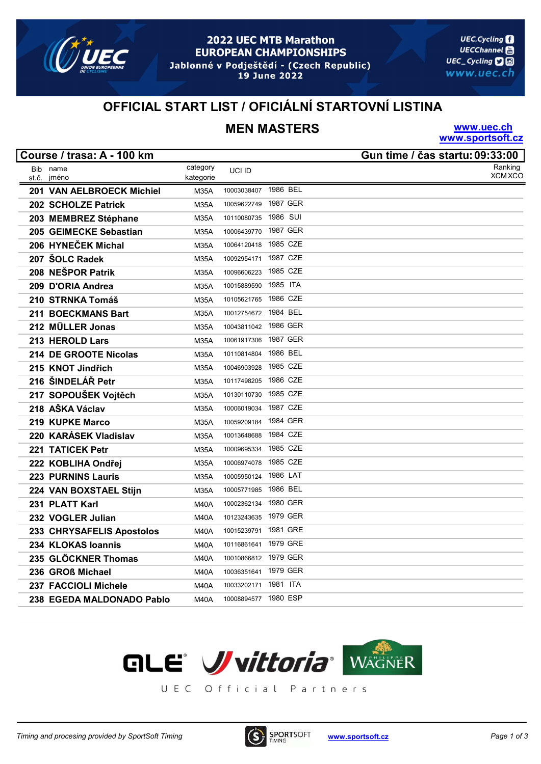

#### 2022 UEC MTB Marathon **EUROPEAN CHAMPIONSHIPS** Jablonné v Podještědí - (Czech Republic)

19 June 2022

**UEC.Cycling UECChannel** UEC\_Cycling **口**回 www.uec.ch

# OFFICIAL START LIST / OFICIÁLNÍ STARTOVNÍ LISTINA

# MEN MASTERS

www.uec.ch www.sportsoft.cz

|       | Course / trasa: A - 100 km |             |                      |          | Gun time / čas startu: 09:33:00 |
|-------|----------------------------|-------------|----------------------|----------|---------------------------------|
|       | Bib name                   | category    | UCI ID               |          | Ranking                         |
| st.č. | jméno                      | kategorie   |                      |          | <b>XCM XCO</b>                  |
|       | 201 VAN AELBROECK Michiel  | <b>M35A</b> | 10003038407          | 1986 BEL |                                 |
|       | 202 SCHOLZE Patrick        | <b>M35A</b> | 10059622749          | 1987 GER |                                 |
|       | 203 MEMBREZ Stéphane       | <b>M35A</b> | 10110080735          | 1986 SUI |                                 |
|       | 205 GEIMECKE Sebastian     | <b>M35A</b> | 10006439770          | 1987 GER |                                 |
|       | 206 HYNEČEK Michal         | <b>M35A</b> | 10064120418          | 1985 CZE |                                 |
|       | 207 ŠOLC Radek             | <b>M35A</b> | 10092954171          | 1987 CZE |                                 |
|       | 208 NEŠPOR Patrik          | <b>M35A</b> | 10096606223          | 1985 CZE |                                 |
|       | 209 D'ORIA Andrea          | <b>M35A</b> | 10015889590          | 1985 ITA |                                 |
|       | 210 STRNKA Tomáš           | <b>M35A</b> | 10105621765          | 1986 CZE |                                 |
|       | 211 BOECKMANS Bart         | <b>M35A</b> | 10012754672 1984 BEL |          |                                 |
|       | 212 MÜLLER Jonas           | <b>M35A</b> | 10043811042          | 1986 GER |                                 |
|       | 213 HEROLD Lars            | <b>M35A</b> | 10061917306          | 1987 GER |                                 |
|       | 214 DE GROOTE Nicolas      | <b>M35A</b> | 10110814804          | 1986 BEL |                                 |
|       | 215 KNOT Jindřich          | <b>M35A</b> | 10046903928          | 1985 CZE |                                 |
|       | 216 ŠINDELÁŘ Petr          | <b>M35A</b> | 10117498205          | 1986 CZE |                                 |
|       | 217 SOPOUŠEK Vojtěch       | <b>M35A</b> | 10130110730          | 1985 CZE |                                 |
|       | 218 AŠKA Václav            | <b>M35A</b> | 10006019034          | 1987 CZE |                                 |
|       | 219 KUPKE Marco            | <b>M35A</b> | 10059209184          | 1984 GER |                                 |
|       | 220 KARÁSEK Vladislav      | <b>M35A</b> | 10013648688          | 1984 CZE |                                 |
|       | 221 TATICEK Petr           | <b>M35A</b> | 10009695334          | 1985 CZE |                                 |
|       | 222 KOBLIHA Ondřej         | <b>M35A</b> | 10006974078          | 1985 CZE |                                 |
|       | <b>223 PURNINS Lauris</b>  | <b>M35A</b> | 10005950124          | 1986 LAT |                                 |
|       | 224 VAN BOXSTAEL Stijn     | M35A        | 10005771985          | 1986 BEL |                                 |
|       | 231 PLATT Karl             | M40A        | 10002362134          | 1980 GER |                                 |
|       | 232 VOGLER Julian          | <b>M40A</b> | 10123243635          | 1979 GER |                                 |
|       | 233 CHRYSAFELIS Apostolos  | <b>M40A</b> | 10015239791          | 1981 GRE |                                 |
|       | 234 KLOKAS loannis         | <b>M40A</b> | 10116861641          | 1979 GRE |                                 |
|       | 235 GLÖCKNER Thomas        | <b>M40A</b> | 10010866812 1979 GER |          |                                 |
|       | 236 GROß Michael           | <b>M40A</b> | 10036351641          | 1979 GER |                                 |
|       | 237 FACCIOLI Michele       | <b>M40A</b> | 10033202171          | 1981 ITA |                                 |
|       | 238 EGEDA MALDONADO Pablo  | <b>M40A</b> | 10008894577 1980 ESP |          |                                 |



UEC Official Partners

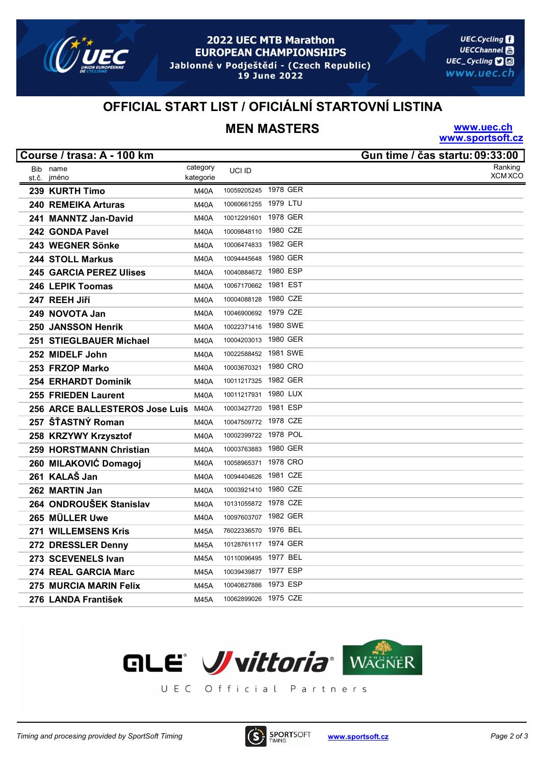

#### 2022 UEC MTB Marathon **EUROPEAN CHAMPIONSHIPS** Jablonné v Podještědí - (Czech Republic)

19 June 2022

**UEC.Cycling UECChannel** UEC\_Cycling **口**回 www.uec.ch

# OFFICIAL START LIST / OFICIÁLNÍ STARTOVNÍ LISTINA

# MEN MASTERS

www.uec.ch www.sportsoft.cz

|       | Course / trasa: A - 100 km          |             |                      |          | Gun time / čas startu: 09:33:00 |
|-------|-------------------------------------|-------------|----------------------|----------|---------------------------------|
|       | Bib name                            | category    | UCI ID               |          | Ranking                         |
| st č. | jméno                               | kategorie   |                      |          | <b>XCM XCO</b>                  |
|       | 239 KURTH Timo                      | <b>M40A</b> | 10059205245          | 1978 GER |                                 |
|       | 240 REMEIKA Arturas                 | <b>M40A</b> | 10060661255          | 1979 LTU |                                 |
|       | 241 MANNTZ Jan-David                | <b>M40A</b> | 10012291601          | 1978 GER |                                 |
|       | 242 GONDA Pavel                     | M40A        | 10009848110          | 1980 CZE |                                 |
|       | 243 WEGNER Sönke                    | <b>M40A</b> | 10006474833          | 1982 GER |                                 |
|       | 244 STOLL Markus                    | <b>M40A</b> | 10094445648          | 1980 GER |                                 |
|       | <b>245 GARCIA PEREZ Ulises</b>      | <b>M40A</b> | 10040884672          | 1980 ESP |                                 |
|       | 246 LEPIK Toomas                    | <b>M40A</b> | 10067170662 1981 EST |          |                                 |
|       | 247 REEH Jiří                       | <b>M40A</b> | 10004088128          | 1980 CZE |                                 |
|       | 249 NOVOTA Jan                      | M40A        | 10046900692 1979 CZE |          |                                 |
|       | 250 JANSSON Henrik                  | <b>M40A</b> | 10022371416          | 1980 SWE |                                 |
|       | 251 STIEGLBAUER Michael             | <b>M40A</b> | 10004203013          | 1980 GER |                                 |
|       | 252 MIDELF John                     | <b>M40A</b> | 10022588452          | 1981 SWE |                                 |
|       | 253 FRZOP Marko                     | <b>M40A</b> | 10003670321          | 1980 CRO |                                 |
|       | <b>254 ERHARDT Dominik</b>          | <b>M40A</b> | 10011217325          | 1982 GER |                                 |
|       | 255 FRIEDEN Laurent                 | <b>M40A</b> | 10011217931          | 1980 LUX |                                 |
|       | 256 ARCE BALLESTEROS Jose Luis M40A |             | 10003427720          | 1981 ESP |                                 |
|       | 257 ŠŤASTNÝ Roman                   | <b>M40A</b> | 10047509772 1978 CZE |          |                                 |
|       | 258 KRZYWY Krzysztof                | M40A        | 10002399722          | 1978 POL |                                 |
|       | 259 HORSTMANN Christian             | <b>M40A</b> | 10003763883          | 1980 GER |                                 |
|       | 260 MILAKOVIĆ Domagoj               | <b>M40A</b> | 10058965371          | 1978 CRO |                                 |
|       | 261 KALAŠ Jan                       | <b>M40A</b> | 10094404626          | 1981 CZE |                                 |
|       | 262 MARTIN Jan                      | M40A        | 10003921410 1980 CZE |          |                                 |
|       | 264 ONDROUŠEK Stanislav             | M40A        | 10131055872 1978 CZE |          |                                 |
|       | 265 MÜLLER Uwe                      | <b>M40A</b> | 10097603707          | 1982 GER |                                 |
|       | 271 WILLEMSENS Kris                 | <b>M45A</b> | 76022336570          | 1976 BEL |                                 |
|       | 272 DRESSLER Denny                  | <b>M45A</b> | 10128761117 1974 GER |          |                                 |
|       | 273 SCEVENELS Ivan                  | <b>M45A</b> | 10110096495          | 1977 BEL |                                 |
|       | 274 REAL GARCIA Marc                | <b>M45A</b> | 10039439877          | 1977 ESP |                                 |
|       | 275 MURCIA MARIN Felix              | <b>M45A</b> | 10040827886          | 1973 ESP |                                 |
|       | 276 LANDA František                 | <b>M45A</b> | 10062899026 1975 CZE |          |                                 |



UEC Official Partners